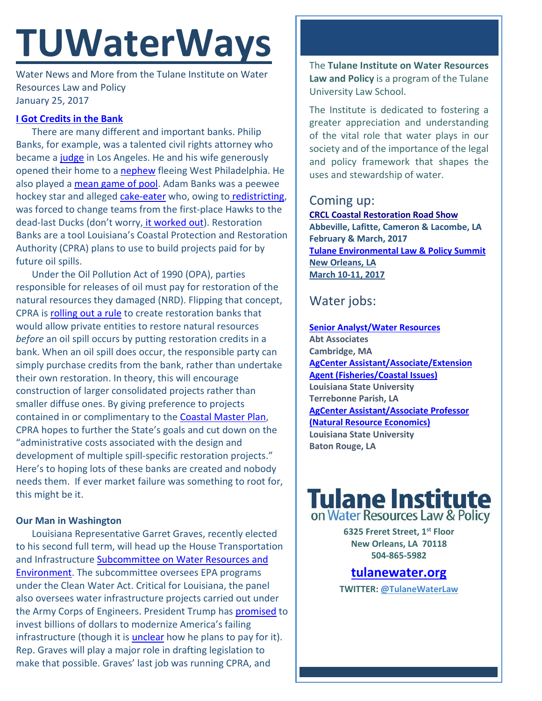# **TUWaterWays**

Water News and More from the Tulane Institute on Water Resources Law and Policy January 25, 2017

### **[I Got Credits in the Bank](https://www.youtube.com/watch?v=gxFGhQsaSwI)**

There are many different and important banks. Philip Banks, for example, was a talented civil rights attorney who became a [judge](https://www.youtube.com/watch?v=FuRYnLdEN50) in Los Angeles. He and his wife generously opened their home to a [nephew](http://giphy.com/gifs/fresh-prince-1YkDQ6NowEkYE) fleeing West Philadelphia. He also played a [mean game of pool.](https://www.youtube.com/watch?v=U6YMdlijN8I&t=61s) Adam Banks was a peewee hockey star and alleged [cake-eater](https://en.wiktionary.org/wiki/cake-eater) who, owing to [redistricting,](https://www.youtube.com/watch?v=ff1N-ZNY3QQ) was forced to change teams from the first-place Hawks to the dead-last Ducks (don't worry, [it worked out\)](http://assets-s3.usmagazine.com/uploads/assets/article_photos/emilio-estevez-mighty-ducks-original-lg.jpg). Restoration Banks are a tool Louisiana's Coastal Protection and Restoration Authority (CPRA) plans to use to build projects paid for by future oil spills.

Under the Oil Pollution Act of 1990 (OPA), parties responsible for releases of oil must pay for restoration of the natural resources they damaged (NRD). Flipping that concept, CPRA is [rolling out a rule](http://coastal.la.gov/wp-content/uploads/2017/01/FINAL_NRD-CPRA-Publishes-Propsed-Rule-to-Establish-Natural-Resource-Damage-Restoration-Banking-Program_1.19.17.pdf) to create restoration banks that would allow private entities to restore natural resources *before* an oil spill occurs by putting restoration credits in a bank. When an oil spill does occur, the responsible party can simply purchase credits from the bank, rather than undertake their own restoration. In theory, this will encourage construction of larger consolidated projects rather than smaller diffuse ones. By giving preference to projects contained in or complimentary to the **Coastal Master Plan**, CPRA hopes to further the State's goals and cut down on the "administrative costs associated with the design and development of multiple spill-specific restoration projects." Here's to hoping lots of these banks are created and nobody needs them. If ever market failure was something to root for, this might be it.

### **Our Man in Washington**

Louisiana Representative Garret Graves, recently elected to his second full term, will head up the House Transportation and Infrastructure **Subcommittee on Water Resources and** [Environment.](http://www.progressiverailroading.com/federal_legislation_regulation/news/Shuster-names-TI-Committee-vice-chair-subcommittee-chairs--50665) The subcommittee oversees EPA programs under the Clean Water Act. Critical for Louisiana, the panel also oversees water infrastructure projects carried out under the Army Corps of Engineers. President Trump has **promised** to invest billions of dollars to modernize America's failing infrastructure (though it is **[unclear](http://thehill.com/policy/transportation/315110-ryan-offers-picture-of-private-public-spending-in-trumps-infrastructure)** how he plans to pay for it). Rep. Graves will play a major role in drafting legislation to make that possible. Graves' last job was running CPRA, and

The **Tulane Institute on Water Resources Law and Policy** is a program of the Tulane University Law School.

The Institute is dedicated to fostering a greater appreciation and understanding of the vital role that water plays in our society and of the importance of the legal and policy framework that shapes the uses and stewardship of water.

## Coming up:

**[CRCL Coastal Restoration Road Show](http://www.crcl.org/programs/outreach-and-engagement/coastal-restoration-road-show.html) Abbeville, Lafitte, Cameron & Lacombe, LA February & March, 2017 [Tulane Environmental Law & Policy Summit](https://tulaneenvironmentallawsummit.com/) New Orleans, LA March 10-11, 2017** 

# Water jobs:

**[Senior Analyst/Water Resources](https://career4.successfactors.com/career?career_ns=job_listing&company=AbtPROD&navBarLevel=JOB_SEARCH&rcm_site_locale=en_US&career_job_req_id=41481&selected_lang=en_US&jobAlertController_jobAlertId=&jobAlertController_jobAlertName=&_s.crb=1QSYD9IZyGxNINYgF83LkGL0FPc%3D) Abt Associates Cambridge, MA [AgCenter Assistant/Associate/Extension](https://lsu.wd1.myworkdayjobs.com/en-US/LSU/job/0101-Terrebonne-Parish-Extension-Office/AgCenter-Assistant-Associate-Extension-Agent--Fisheries-Coastal-Issues-_R00007661-1)  [Agent \(Fisheries/Coastal Issues\)](https://lsu.wd1.myworkdayjobs.com/en-US/LSU/job/0101-Terrebonne-Parish-Extension-Office/AgCenter-Assistant-Associate-Extension-Agent--Fisheries-Coastal-Issues-_R00007661-1) Louisiana State University Terrebonne Parish, LA [AgCenter Assistant/Associate Professor](https://lsu.wd1.myworkdayjobs.com/en-US/LSU/job/0001-Martin-D-Woodin-Hall/AgCenter-Assistant-Associate-Professor--Natural-Resource-Economics-_R00007821)  [\(Natural Resource Economics\)](https://lsu.wd1.myworkdayjobs.com/en-US/LSU/job/0001-Martin-D-Woodin-Hall/AgCenter-Assistant-Associate-Professor--Natural-Resource-Economics-_R00007821) Louisiana State University Baton Rouge, LA**

# **Tulane Institute**<br>on Water Resources Law & Policy

**6325 Freret Street, 1st Floor New Orleans, LA 70118 504-865-5982** 

### **tulanewater.org**

**TWITTER: [@TulaneWaterLaw](http://www.twitter.com/TulaneWaterLaw)**